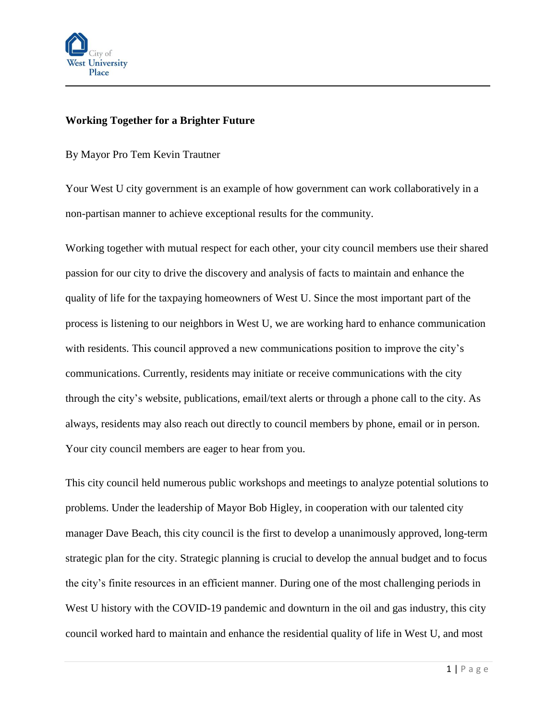

## **Working Together for a Brighter Future**

By Mayor Pro Tem Kevin Trautner

Your West U city government is an example of how government can work collaboratively in a non-partisan manner to achieve exceptional results for the community.

Working together with mutual respect for each other, your city council members use their shared passion for our city to drive the discovery and analysis of facts to maintain and enhance the quality of life for the taxpaying homeowners of West U. Since the most important part of the process is listening to our neighbors in West U, we are working hard to enhance communication with residents. This council approved a new communications position to improve the city's communications. Currently, residents may initiate or receive communications with the city through the city's website, publications, email/text alerts or through a phone call to the city. As always, residents may also reach out directly to council members by phone, email or in person. Your city council members are eager to hear from you.

This city council held numerous public workshops and meetings to analyze potential solutions to problems. Under the leadership of Mayor Bob Higley, in cooperation with our talented city manager Dave Beach, this city council is the first to develop a unanimously approved, long-term strategic plan for the city. Strategic planning is crucial to develop the annual budget and to focus the city's finite resources in an efficient manner. During one of the most challenging periods in West U history with the COVID-19 pandemic and downturn in the oil and gas industry, this city council worked hard to maintain and enhance the residential quality of life in West U, and most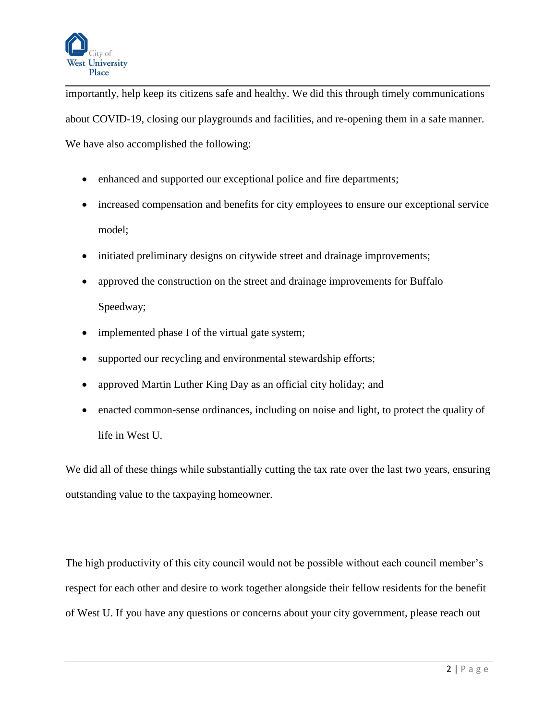

importantly, help keep its citizens safe and healthy. We did this through timely communications about COVID-19, closing our playgrounds and facilities, and re-opening them in a safe manner. We have also accomplished the following:

- enhanced and supported our exceptional police and fire departments;
- increased compensation and benefits for city employees to ensure our exceptional service model;
- initiated preliminary designs on citywide street and drainage improvements;
- approved the construction on the street and drainage improvements for Buffalo Speedway;
- implemented phase I of the virtual gate system;
- supported our recycling and environmental stewardship efforts;
- approved Martin Luther King Day as an official city holiday; and
- enacted common-sense ordinances, including on noise and light, to protect the quality of life in West U.

We did all of these things while substantially cutting the tax rate over the last two years, ensuring outstanding value to the taxpaying homeowner.

The high productivity of this city council would not be possible without each council member's respect for each other and desire to work together alongside their fellow residents for the benefit of West U. If you have any questions or concerns about your city government, please reach out